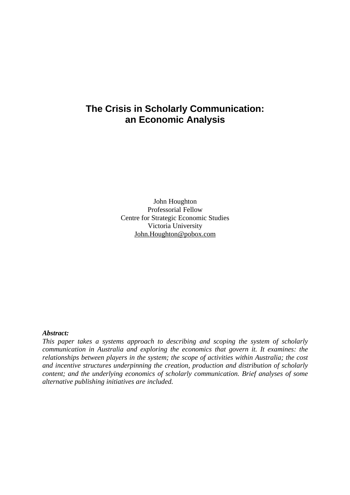### **The Crisis in Scholarly Communication: an Economic Analysis**

John Houghton Professorial Fellow Centre for Strategic Economic Studies Victoria University John.Houghton@pobox.com

#### *Abstract:*

*This paper takes a systems approach to describing and scoping the system of scholarly communication in Australia and exploring the economics that govern it. It examines: the relationships between players in the system; the scope of activities within Australia; the cost and incentive structures underpinning the creation, production and distribution of scholarly content; and the underlying economics of scholarly communication. Brief analyses of some alternative publishing initiatives are included.*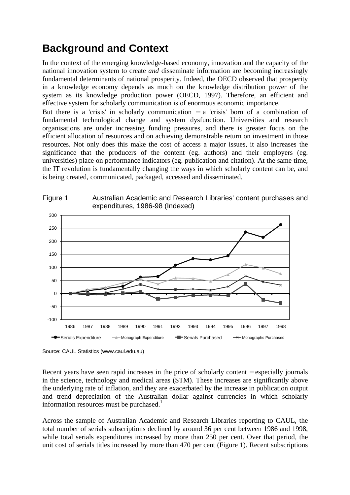## **Background and Context**

In the context of the emerging knowledge-based economy, innovation and the capacity of the national innovation system to create *and* disseminate information are becoming increasingly fundamental determinants of national prosperity. Indeed, the OECD observed that prosperity in a knowledge economy depends as much on the knowledge distribution power of the system as its knowledge production power (OECD, 1997). Therefore, an efficient and effective system for scholarly communication is of enormous economic importance.

But there is a 'crisis' in scholarly communication − a 'crisis' born of a combination of fundamental technological change and system dysfunction. Universities and research organisations are under increasing funding pressures, and there is greater focus on the efficient allocation of resources and on achieving demonstrable return on investment in those resources. Not only does this make the cost of access a major issues, it also increases the significance that the producers of the content (eg. authors) and their employers (eg. universities) place on performance indicators (eg. publication and citation). At the same time, the IT revolution is fundamentally changing the ways in which scholarly content can be, and is being created, communicated, packaged, accessed and disseminated.



Source: CAUL Statistics (www.caul.edu.au)

Recent years have seen rapid increases in the price of scholarly content − especially journals in the science, technology and medical areas (STM). These increases are significantly above the underlying rate of inflation, and they are exacerbated by the increase in publication output and trend depreciation of the Australian dollar against currencies in which scholarly information resources must be purchased.<sup>1</sup>

Across the sample of Australian Academic and Research Libraries reporting to CAUL, the total number of serials subscriptions declined by around 36 per cent between 1986 and 1998, while total serials expenditures increased by more than 250 per cent. Over that period, the unit cost of serials titles increased by more than 470 per cent (Figure 1). Recent subscriptions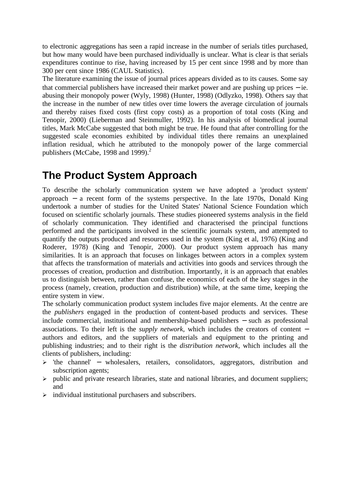to electronic aggregations has seen a rapid increase in the number of serials titles purchased, but how many would have been purchased individually is unclear. What is clear is that serials expenditures continue to rise, having increased by 15 per cent since 1998 and by more than 300 per cent since 1986 (CAUL Statistics).

The literature examining the issue of journal prices appears divided as to its causes. Some say that commercial publishers have increased their market power and are pushing up prices − ie. abusing their monopoly power (Wyly, 1998) (Hunter, 1998) (Odlyzko, 1998). Others say that the increase in the number of new titles over time lowers the average circulation of journals and thereby raises fixed costs (first copy costs) as a proportion of total costs (King and Tenopir, 2000) (Lieberman and Steinmuller, 1992). In his analysis of biomedical journal titles, Mark McCabe suggested that both might be true. He found that after controlling for the suggested scale economies exhibited by individual titles there remains an unexplained inflation residual, which he attributed to the monopoly power of the large commercial publishers (McCabe, 1998 and 1999). $^2$ 

## **The Product System Approach**

To describe the scholarly communication system we have adopted a 'product system' approach − a recent form of the systems perspective. In the late 1970s, Donald King undertook a number of studies for the United States' National Science Foundation which focused on scientific scholarly journals. These studies pioneered systems analysis in the field of scholarly communication. They identified and characterised the principal functions performed and the participants involved in the scientific journals system, and attempted to quantify the outputs produced and resources used in the system (King et al, 1976) (King and Roderer, 1978) (King and Tenopir, 2000). Our product system approach has many similarities. It is an approach that focuses on linkages between actors in a complex system that affects the transformation of materials and activities into goods and services through the processes of creation, production and distribution. Importantly, it is an approach that enables us to distinguish between, rather than confuse, the economics of each of the key stages in the process (namely, creation, production and distribution) while, at the same time, keeping the entire system in view.

The scholarly communication product system includes five major elements. At the centre are the *publishers* engaged in the production of content-based products and services. These include commercial, institutional and membership-based publishers − such as professional associations. To their left is the *supply network,* which includes the creators of content − authors and editors, and the suppliers of materials and equipment to the printing and publishing industries; and to their right is the *distribution network,* which includes all the clients of publishers, including:

- ÿ 'the channel' − wholesalers, retailers, consolidators, aggregators, distribution and subscription agents;
- $\triangleright$  public and private research libraries, state and national libraries, and document suppliers; and
- $\triangleright$  individual institutional purchasers and subscribers.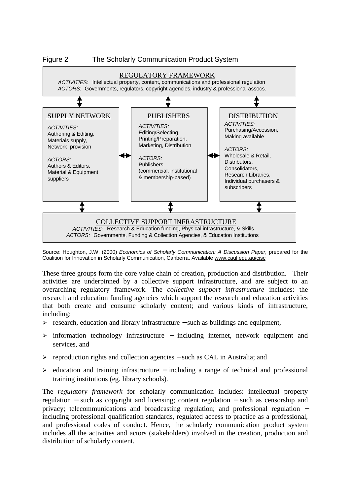

Source: Houghton, J.W. (2000) *Economics of Scholarly Communication: A Discussion Paper, prepared for the* Coalition for Innovation in Scholarly Communication, Canberra. Available www.caul.edu.au/cisc

These three groups form the core value chain of creation, production and distribution. Their activities are underpinned by a collective support infrastructure, and are subject to an overarching regulatory framework. The *collective support infrastructure* includes: the research and education funding agencies which support the research and education activities that both create and consume scholarly content; and various kinds of infrastructure, including:

- ÿ research, education and library infrastructure − such as buildings and equipment,
- ÿ information technology infrastructure − including internet, network equipment and services, and
- ÿ reproduction rights and collection agencies − such as CAL in Australia; and
- ÿ education and training infrastructure − including a range of technical and professional training institutions (eg. library schools).

The *regulatory framework* for scholarly communication includes: intellectual property regulation − such as copyright and licensing; content regulation − such as censorship and privacy; telecommunications and broadcasting regulation; and professional regulation − including professional qualification standards, regulated access to practice as a professional, and professional codes of conduct. Hence, the scholarly communication product system includes all the activities and actors (stakeholders) involved in the creation, production and distribution of scholarly content.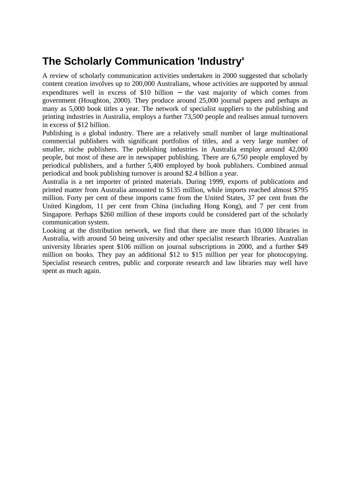# **The Scholarly Communication 'Industry'**

A review of scholarly communication activities undertaken in 2000 suggested that scholarly content creation involves up to 200,000 Australians, whose activities are supported by annual expenditures well in excess of \$10 billion – the vast majority of which comes from government (Houghton, 2000). They produce around 25,000 journal papers and perhaps as many as 5,000 book titles a year. The network of specialist suppliers to the publishing and printing industries in Australia, employs a further 73,500 people and realises annual turnovers in excess of \$12 billion.

Publishing is a global industry. There are a relatively small number of large multinational commercial publishers with significant portfolios of titles, and a very large number of smaller, niche publishers. The publishing industries in Australia employ around 42,000 people, but most of these are in newspaper publishing. There are 6,750 people employed by periodical publishers, and a further 5,400 employed by book publishers. Combined annual periodical and book publishing turnover is around \$2.4 billion a year.

Australia is a net importer of printed materials. During 1999, exports of publications and printed matter from Australia amounted to \$135 million, while imports reached almost \$795 million. Forty per cent of these imports came from the United States, 37 per cent from the United Kingdom, 11 per cent from China (including Hong Kong), and 7 per cent from Singapore. Perhaps \$260 million of these imports could be considered part of the scholarly communication system.

Looking at the distribution network, we find that there are more than 10,000 libraries in Australia, with around 50 being university and other specialist research libraries. Australian university libraries spent \$106 million on journal subscriptions in 2000, and a further \$49 million on books. They pay an additional \$12 to \$15 million per year for photocopying. Specialist research centres, public and corporate research and law libraries may well have spent as much again.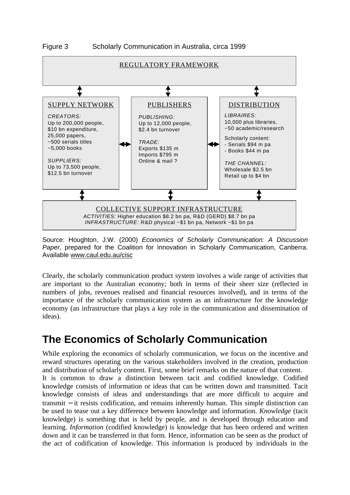



Source: Houghton, J.W. (2000) *Economics of Scholarly Communication: A Discussion* Paper, prepared for the Coalition for Innovation in Scholarly Communication, Canberra. Available www.caul.edu.au/cisc

Clearly, the scholarly communication product system involves a wide range of activities that are important to the Australian economy; both in terms of their sheer size (reflected in numbers of jobs, revenues realised and financial resources involved), and in terms of the importance of the scholarly communication system as an infrastructure for the knowledge economy (an infrastructure that plays a key role in the communication and dissemination of ideas).

## **The Economics of Scholarly Communication**

While exploring the economics of scholarly communication, we focus on the incentive and reward structures operating on the various stakeholders involved in the creation, production and distribution of scholarly content. First, some brief remarks on the nature of that content. It is common to draw a distinction between tacit and codified knowledge. Codified knowledge consists of information or ideas that can be written down and transmitted. Tacit knowledge consists of ideas and understandings that are more difficult to acquire and transmit − it resists codification, and remains inherently human. This simple distinction can be used to tease out a key difference between knowledge and information. *Knowledge* (tacit knowledge) is something that is held by people, and is developed through education and learning. *Information* (codified knowledge) is knowledge that has been ordered and written down and it can be transferred in that form. Hence, information can be seen as the product of the act of codification of knowledge. This information is produced by individuals in the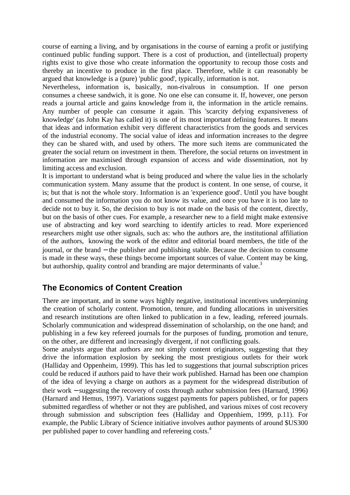course of earning a living, and by organisations in the course of earning a profit or justifying continued public funding support. There is a cost of production, and (intellectual) property rights exist to give those who create information the opportunity to recoup those costs and thereby an incentive to produce in the first place. Therefore, while it can reasonably be argued that knowledge is a (pure) 'public good', typically, information is not.

Nevertheless, information is, basically, non-rivalrous in consumption. If one person consumes a cheese sandwich, it is gone. No one else can consume it. If, however, one person reads a journal article and gains knowledge from it, the information in the article remains. Any number of people can consume it again. This 'scarcity defying expansiveness of knowledge' (as John Kay has called it) is one of its most important defining features. It means that ideas and information exhibit very different characteristics from the goods and services of the industrial economy. The social value of ideas and information increases to the degree they can be shared with, and used by others. The more such items are communicated the greater the social return on investment in them. Therefore, the social returns on investment in information are maximised through expansion of access and wide dissemination, not by limiting access and exclusion.

It is important to understand what is being produced and where the value lies in the scholarly communication system. Many assume that the product is content. In one sense, of course, it is; but that is not the whole story. Information is an 'experience good'. Until you have bought and consumed the information you do not know its value, and once you have it is too late to decide not to buy it. So, the decision to buy is not made on the basis of the content, directly, but on the basis of other cues. For example, a researcher new to a field might make extensive use of abstracting and key word searching to identify articles to read. More experienced researchers might use other signals, such as: who the authors are, the institutional affiliation of the authors, knowing the work of the editor and editorial board members, the title of the journal, or the brand − the publisher and publishing stable. Because the decision to consume is made in these ways, these things become important sources of value. Content may be king, but authorship, quality control and branding are major determinants of value.<sup>3</sup>

### **The Economics of Content Creation**

There are important, and in some ways highly negative, institutional incentives underpinning the creation of scholarly content. Promotion, tenure, and funding allocations in universities and research institutions are often linked to publication in a few, leading, refereed journals. Scholarly communication and widespread dissemination of scholarship, on the one hand; and publishing in a few key refereed journals for the purposes of funding, promotion and tenure, on the other, are different and increasingly divergent, if not conflicting goals.

Some analysts argue that authors are not simply content originators, suggesting that they drive the information explosion by seeking the most prestigious outlets for their work (Halliday and Oppenheim, 1999). This has led to suggestions that journal subscription prices could be reduced if authors paid to have their work published. Harnad has been one champion of the idea of levying a charge on authors as a payment for the widespread distribution of their work − suggesting the recovery of costs through author submission fees (Harnard, 1996) (Harnard and Hemus, 1997). Variations suggest payments for papers published, or for papers submitted regardless of whether or not they are published, and various mixes of cost recovery through submission and subscription fees (Halliday and Oppenhiem, 1999, p.11). For example, the Public Library of Science initiative involves author payments of around \$US300 per published paper to cover handling and refereeing costs.<sup>4</sup>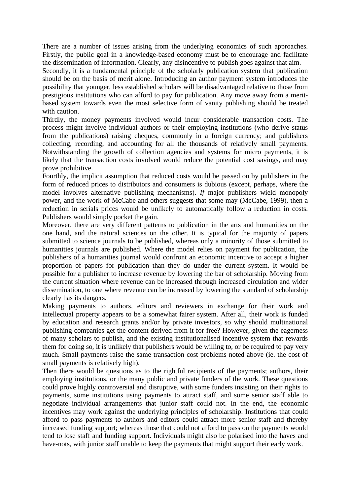There are a number of issues arising from the underlying economics of such approaches. Firstly, the public goal in a knowledge-based economy must be to encourage and facilitate the dissemination of information. Clearly, any disincentive to publish goes against that aim.

Secondly, it is a fundamental principle of the scholarly publication system that publication should be on the basis of merit alone. Introducing an author payment system introduces the possibility that younger, less established scholars will be disadvantaged relative to those from prestigious institutions who can afford to pay for publication. Any move away from a meritbased system towards even the most selective form of vanity publishing should be treated with caution.

Thirdly, the money payments involved would incur considerable transaction costs. The process might involve individual authors or their employing institutions (who derive status from the publications) raising cheques, commonly in a foreign currency; and publishers collecting, recording, and accounting for all the thousands of relatively small payments. Notwithstanding the growth of collection agencies and systems for micro payments, it is likely that the transaction costs involved would reduce the potential cost savings, and may prove prohibitive.

Fourthly, the implicit assumption that reduced costs would be passed on by publishers in the form of reduced prices to distributors and consumers is dubious (except, perhaps, where the model involves alternative publishing mechanisms). *If* major publishers wield monopoly power, and the work of McCabe and others suggests that some may (McCabe, 1999), then a reduction in serials prices would be unlikely to automatically follow a reduction in costs. Publishers would simply pocket the gain.

Moreover, there are very different patterns to publication in the arts and humanities on the one hand, and the natural sciences on the other. It is typical for the majority of papers submitted to science journals to be published, whereas only a minority of those submitted to humanities journals are published. Where the model relies on payment for publication, the publishers of a humanities journal would confront an economic incentive to accept a higher proportion of papers for publication than they do under the current system. It would be possible for a publisher to increase revenue by lowering the bar of scholarship. Moving from the current situation where revenue can be increased through increased circulation and wider dissemination, to one where revenue can be increased by lowering the standard of scholarship clearly has its dangers.

Making payments to authors, editors and reviewers in exchange for their work and intellectual property appears to be a somewhat fairer system. After all, their work is funded by education and research grants and/or by private investors, so why should multinational publishing companies get the content derived from it for free? However, given the eagerness of many scholars to publish, and the existing institutionalised incentive system that rewards them for doing so, it is unlikely that publishers would be willing to, or be required to pay very much. Small payments raise the same transaction cost problems noted above (ie. the cost of small payments is relatively high).

Then there would be questions as to the rightful recipients of the payments; authors, their employing institutions, or the many public and private funders of the work. These questions could prove highly controversial and disruptive, with some funders insisting on their rights to payments, some institutions using payments to attract staff, and some senior staff able to negotiate individual arrangements that junior staff could not. In the end, the economic incentives may work against the underlying principles of scholarship. Institutions that could afford to pass payments to authors and editors could attract more senior staff and thereby increased funding support; whereas those that could not afford to pass on the payments would tend to lose staff and funding support. Individuals might also be polarised into the haves and have-nots, with junior staff unable to keep the payments that might support their early work.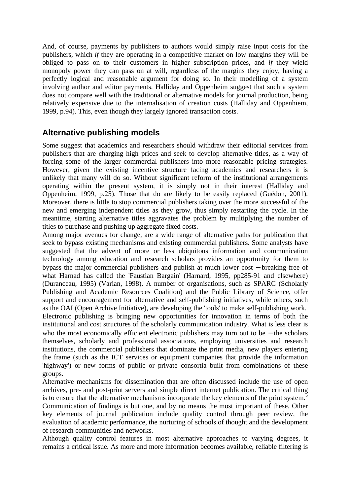And, of course, payments by publishers to authors would simply raise input costs for the publishers, which *if* they are operating in a competitive market on low margins they will be obliged to pass on to their customers in higher subscription prices, and *if* they wield monopoly power they can pass on at will, regardless of the margins they enjoy, having a perfectly logical and reasonable argument for doing so. In their modelling of a system involving author and editor payments, Halliday and Oppenheim suggest that such a system does not compare well with the traditional or alternative models for journal production, being relatively expensive due to the internalisation of creation costs (Halliday and Oppenhiem, 1999, p.94). This, even though they largely ignored transaction costs.

### **Alternative publishing models**

Some suggest that academics and researchers should withdraw their editorial services from publishers that are charging high prices and seek to develop alternative titles, as a way of forcing some of the larger commercial publishers into more reasonable pricing strategies. However, given the existing incentive structure facing academics and researchers it is unlikely that many will do so. Without significant reform of the institutional arrangements operating within the present system, it is simply not in their interest (Halliday and Oppenheim, 1999, p.25). Those that do are likely to be easily replaced (Guédon, 2001). Moreover, there is little to stop commercial publishers taking over the more successful of the new and emerging independent titles as they grow, thus simply restarting the cycle. In the meantime, starting alternative titles aggravates the problem by multiplying the number of titles to purchase and pushing up aggregate fixed costs.

Among major avenues for change, are a wide range of alternative paths for publication that seek to bypass existing mechanisms and existing commercial publishers. Some analysts have suggested that the advent of more or less ubiquitous information and communication technology among education and research scholars provides an opportunity for them to bypass the major commercial publishers and publish at much lower cost − breaking free of what Harnad has called the 'Faustian Bargain' (Harnard, 1995, pp285-91 and elsewhere) (Duranceau, 1995) (Varian, 1998). A number of organisations, such as SPARC (Scholarly Publishing and Academic Resources Coalition) and the Public Library of Science, offer support and encouragement for alternative and self-publishing initiatives, while others, such as the OAI (Open Archive Initiative), are developing the 'tools' to make self-publishing work. Electronic publishing is bringing new opportunities for innovation in terms of both the institutional and cost structures of the scholarly communication industry. What is less clear is who the most economically efficient electronic publishers may turn out to be − the scholars themselves, scholarly and professional associations, employing universities and research institutions, the commercial publishers that dominate the print media, new players entering the frame (such as the ICT services or equipment companies that provide the information 'highway') or new forms of public or private consortia built from combinations of these groups.

Alternative mechanisms for dissemination that are often discussed include the use of open archives, pre- and post-print servers and simple direct internet publication. The critical thing is to ensure that the alternative mechanisms incorporate the key elements of the print system.<sup>5</sup> Communication of findings is but one, and by no means the most important of these. Other key elements of journal publication include quality control through peer review, the evaluation of academic performance, the nurturing of schools of thought and the development of research communities and networks.

Although quality control features in most alternative approaches to varying degrees, it remains a critical issue. As more and more information becomes available, reliable filtering is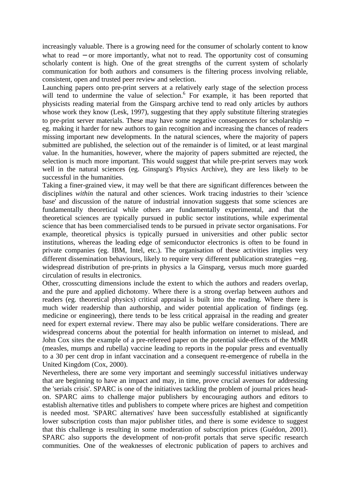increasingly valuable. There is a growing need for the consumer of scholarly content to know what to read – or more importantly, what not to read. The opportunity cost of consuming scholarly content is high. One of the great strengths of the current system of scholarly communication for both authors and consumers is the filtering process involving reliable, consistent, open and trusted peer review and selection.

Launching papers onto pre-print servers at a relatively early stage of the selection process will tend to undermine the value of selection.<sup>6</sup> For example, it has been reported that physicists reading material from the Ginsparg archive tend to read only articles by authors whose work they know (Lesk, 1997), suggesting that they apply substitute filtering strategies to pre-print server materials. These may have some negative consequences for scholarship − eg. making it harder for new authors to gain recognition and increasing the chances of readers missing important new developments. In the natural sciences, where the majority of papers submitted are published, the selection out of the remainder is of limited, or at least marginal value. In the humanities, however, where the majority of papers submitted are rejected, the selection is much more important. This would suggest that while pre-print servers may work well in the natural sciences (eg. Ginsparg's Physics Archive), they are less likely to be successful in the humanities.

Taking a finer-grained view, it may well be that there are significant differences between the disciplines *within* the natural and other sciences. Work tracing industries to their 'science base' and discussion of the nature of industrial innovation suggests that some sciences are fundamentally theoretical while others are fundamentally experimental, and that the theoretical sciences are typically pursued in public sector institutions, while experimental science that has been commercialised tends to be pursued in private sector organisations. For example, theoretical physics is typically pursued in universities and other public sector institutions, whereas the leading edge of semiconductor electronics is often to be found in private companies (eg. IBM, Intel, etc.). The organisation of these activities implies very different dissemination behaviours, likely to require very different publication strategies − eg. widespread distribution of pre-prints in physics a la Ginsparg, versus much more guarded circulation of results in electronics.

Other, crosscutting dimensions include the extent to which the authors and readers overlap, and the pure and applied dichotomy. Where there is a strong overlap between authors and readers (eg. theoretical physics) critical appraisal is built into the reading. Where there is much wider readership than authorship, and wider potential application of findings (eg. medicine or engineering), there tends to be less critical appraisal in the reading and greater need for expert external review. There may also be public welfare considerations. There are widespread concerns about the potential for health information on internet to mislead, and John Cox sites the example of a pre-refereed paper on the potential side-effects of the MMR (measles, mumps and rubella) vaccine leading to reports in the popular press and eventually to a 30 per cent drop in infant vaccination and a consequent re-emergence of rubella in the United Kingdom (Cox, 2000).

Nevertheless, there are some very important and seemingly successful initiatives underway that are beginning to have an impact and may, in time, prove crucial avenues for addressing the 'serials crisis'. SPARC is one of the initiatives tackling the problem of journal prices headon. SPARC aims to challenge major publishers by encouraging authors and editors to establish alternative titles and publishers to compete where prices are highest and competition is needed most. 'SPARC alternatives' have been successfully established at significantly lower subscription costs than major publisher titles, and there is some evidence to suggest that this challenge is resulting in some moderation of subscription prices (Guédon, 2001). SPARC also supports the development of non-profit portals that serve specific research communities. One of the weaknesses of electronic publication of papers to archives and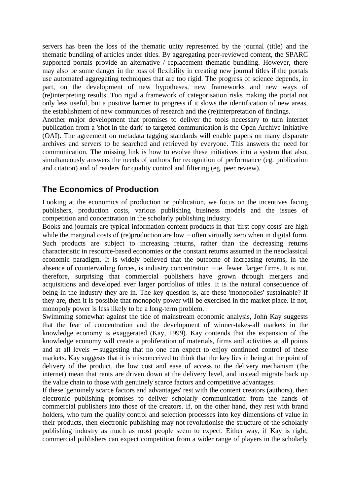servers has been the loss of the thematic unity represented by the journal (title) and the thematic bundling of articles under titles. By aggregating peer-reviewed content, the SPARC supported portals provide an alternative / replacement thematic bundling. However, there may also be some danger in the loss of flexibility in creating new journal titles if the portals use automated aggregating techniques that are too rigid. The progress of science depends, in part, on the development of new hypotheses, new frameworks and new ways of (re)interpreting results. Too rigid a framework of categorisation risks making the portal not only less useful, but a positive barrier to progress if it slows the identification of new areas, the establishment of new communities of research and the (re)interpretation of findings.

Another major development that promises to deliver the tools necessary to turn internet publication from a 'shot in the dark' to targeted communication is the Open Archive Initiative (OAI). The agreement on metadata tagging standards will enable papers on many disparate archives and servers to be searched and retrieved by everyone. This answers the need for communication. The missing link is how to evolve these initiatives into a system that also, simultaneously answers the needs of authors for recognition of performance (eg. publication and citation) and of readers for quality control and filtering (eg. peer review).

### **The Economics of Production**

Looking at the economics of production or publication, we focus on the incentives facing publishers, production costs, various publishing business models and the issues of competition and concentration in the scholarly publishing industry.

Books and journals are typical information content products in that 'first copy costs' are high while the marginal costs of (re)production are low – often virtually zero when in digital form. Such products are subject to increasing returns, rather than the decreasing returns characteristic in resource-based economies or the constant returns assumed in the neoclassical economic paradigm. It is widely believed that the outcome of increasing returns, in the absence of countervailing forces, is industry concentration − ie. fewer, larger firms. It is not, therefore, surprising that commercial publishers have grown through mergers and acquisitions and developed ever larger portfolios of titles. It is the natural consequence of being in the industry they are in. The key question is, are these 'monopolies' sustainable? If they are, then it is possible that monopoly power will be exercised in the market place. If not, monopoly power is less likely to be a long-term problem.

Swimming somewhat against the tide of mainstream economic analysis, John Kay suggests that the fear of concentration and the development of winner-takes-all markets in the knowledge economy is exaggerated (Kay, 1999). Kay contends that the expansion of the knowledge economy will create a proliferation of materials, firms and activities at all points and at all levels − suggesting that no one can expect to enjoy continued control of these markets. Kay suggests that it is misconceived to think that the key lies in being at the point of delivery of the product, the low cost and ease of access to the delivery mechanism (the internet) mean that rents are driven down at the delivery level, and instead migrate back up the value chain to those with genuinely scarce factors and competitive advantages.

If these 'genuinely scarce factors and advantages' rest with the content creators (authors), then electronic publishing promises to deliver scholarly communication from the hands of commercial publishers into those of the creators. If, on the other hand, they rest with brand holders, who turn the quality control and selection processes into key dimensions of value in their products, then electronic publishing may not revolutionise the structure of the scholarly publishing industry as much as most people seem to expect. Either way, if Kay is right, commercial publishers can expect competition from a wider range of players in the scholarly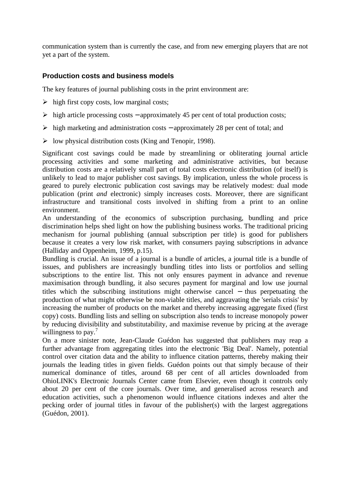communication system than is currently the case, and from new emerging players that are not yet a part of the system.

#### **Production costs and business models**

The key features of journal publishing costs in the print environment are:

- $\triangleright$  high first copy costs, low marginal costs;
- ÿ high article processing costs − approximately 45 per cent of total production costs;
- ÿ high marketing and administration costs − approximately 28 per cent of total; and
- $\triangleright$  low physical distribution costs (King and Tenopir, 1998).

Significant cost savings could be made by streamlining or obliterating journal article processing activities and some marketing and administrative activities, but because distribution costs are a relatively small part of total costs electronic distribution (of itself) is unlikely to lead to major publisher cost savings. By implication, unless the whole process is geared to purely electronic publication cost savings may be relatively modest: dual mode publication (print *and* electronic) simply increases costs. Moreover, there are significant infrastructure and transitional costs involved in shifting from a print to an online environment.

An understanding of the economics of subscription purchasing, bundling and price discrimination helps shed light on how the publishing business works. The traditional pricing mechanism for journal publishing (annual subscription per title) is good for publishers because it creates a very low risk market, with consumers paying subscriptions in advance (Halliday and Oppenheim, 1999, p.15).

Bundling is crucial. An issue of a journal is a bundle of articles, a journal title is a bundle of issues, and publishers are increasingly bundling titles into lists or portfolios and selling subscriptions to the entire list. This not only ensures payment in advance and revenue maximisation through bundling, it also secures payment for marginal and low use journal titles which the subscribing institutions might otherwise cancel − thus perpetuating the production of what might otherwise be non-viable titles, and aggravating the 'serials crisis' by increasing the number of products on the market and thereby increasing aggregate fixed (first copy) costs. Bundling lists and selling on subscription also tends to increase monopoly power by reducing divisibility and substitutability, and maximise revenue by pricing at the average willingness to pay.<sup>7</sup>

On a more sinister note, Jean-Claude Guédon has suggested that publishers may reap a further advantage from aggregating titles into the electronic 'Big Deal'. Namely, potential control over citation data and the ability to influence citation patterns, thereby making their journals the leading titles in given fields. Guédon points out that simply because of their numerical dominance of titles, around 68 per cent of all articles downloaded from OhioLINK's Electronic Journals Center came from Elsevier, even though it controls only about 20 per cent of the core journals. Over time, and generalised across research and education activities, such a phenomenon would influence citations indexes and alter the pecking order of journal titles in favour of the publisher(s) with the largest aggregations (Guédon, 2001).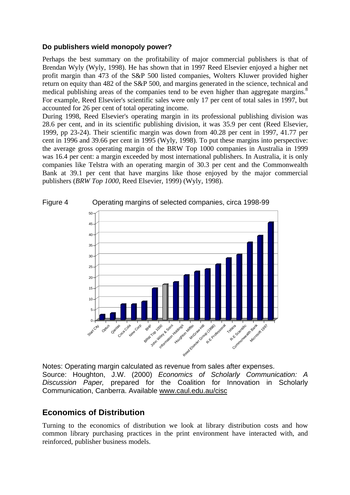#### **Do publishers wield monopoly power?**

Perhaps the best summary on the profitability of major commercial publishers is that of Brendan Wyly (Wyly, 1998). He has shown that in 1997 Reed Elsevier enjoyed a higher net profit margin than 473 of the S&P 500 listed companies, Wolters Kluwer provided higher return on equity than 482 of the S&P 500, and margins generated in the science, technical and medical publishing areas of the companies tend to be even higher than aggregate margins.<sup>8</sup> For example, Reed Elsevier's scientific sales were only 17 per cent of total sales in 1997, but accounted for 26 per cent of total operating income.

During 1998, Reed Elsevier's operating margin in its professional publishing division was 28.6 per cent, and in its scientific publishing division, it was 35.9 per cent (Reed Elsevier, 1999, pp 23-24). Their scientific margin was down from 40.28 per cent in 1997, 41.77 per cent in 1996 and 39.66 per cent in 1995 (Wyly, 1998). To put these margins into perspective: the average gross operating margin of the BRW Top 1000 companies in Australia in 1999 was 16.4 per cent: a margin exceeded by most international publishers. In Australia, it is only companies like Telstra with an operating margin of 30.3 per cent and the Commonwealth Bank at 39.1 per cent that have margins like those enjoyed by the major commercial publishers (*BRW Top 1000*, Reed Elsevier, 1999) (Wyly, 1998).





Notes: Operating margin calculated as revenue from sales after expenses. Source: Houghton, J.W. (2000) *Economics of Scholarly Communication: A Discussion Paper,* prepared for the Coalition for Innovation in Scholarly Communication, Canberra. Available www.caul.edu.au/cisc

### **Economics of Distribution**

Turning to the economics of distribution we look at library distribution costs and how common library purchasing practices in the print environment have interacted with, and reinforced, publisher business models.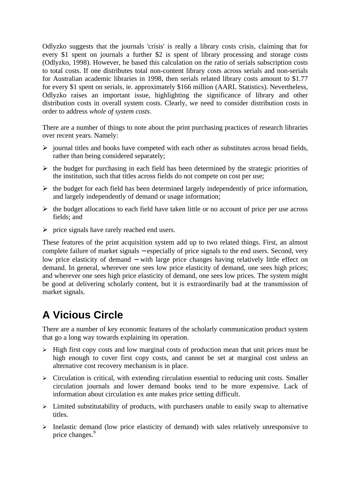Odlyzko suggests that the journals 'crisis' is really a library costs crisis, claiming that for every \$1 spent on journals a further \$2 is spent of library processing and storage costs (Odlyzko, 1998). However, he based this calculation on the ratio of serials subscription costs to total costs. If one distributes total non-content library costs across serials and non-serials for Australian academic libraries in 1998, then serials related library costs amount to \$1.77 for every \$1 spent on serials, ie. approximately \$166 million (AARL Statistics). Nevertheless, Odlyzko raises an important issue, highlighting the significance of library and other distribution costs in overall system costs. Clearly, we need to consider distribution costs in order to address *whole of system costs*.

There are a number of things to note about the print purchasing practices of research libraries over recent years. Namely:

- $\triangleright$  journal titles and books have competed with each other as substitutes across broad fields, rather than being considered separately;
- $\triangleright$  the budget for purchasing in each field has been determined by the strategic priorities of the institution, such that titles across fields do not compete on cost per use;
- $\triangleright$  the budget for each field has been determined largely independently of price information, and largely independently of demand or usage information;
- $\triangleright$  the budget allocations to each field have taken little or no account of price per use across fields; and
- $\triangleright$  price signals have rarely reached end users.

These features of the print acquisition system add up to two related things. First, an almost complete failure of market signals − especially of price signals to the end users. Second, very low price elasticity of demand − with large price changes having relatively little effect on demand. In general, wherever one sees low price elasticity of demand, one sees high prices; and wherever one sees high price elasticity of demand, one sees low prices. The system might be good at delivering scholarly content, but it is extraordinarily bad at the transmission of market signals.

## **A Vicious Circle**

There are a number of key economic features of the scholarly communication product system that go a long way towards explaining its operation.

- $\triangleright$  High first copy costs and low marginal costs of production mean that unit prices must be high enough to cover first copy costs, and cannot be set at marginal cost unless an alternative cost recovery mechanism is in place.
- $\triangleright$  Circulation is critical, with extending circulation essential to reducing unit costs. Smaller circulation journals and lower demand books tend to be more expensive. Lack of information about circulation ex ante makes price setting difficult.
- $\triangleright$  Limited substitutability of products, with purchasers unable to easily swap to alternative titles.
- $\triangleright$  Inelastic demand (low price elasticity of demand) with sales relatively unresponsive to price changes.<sup>9</sup>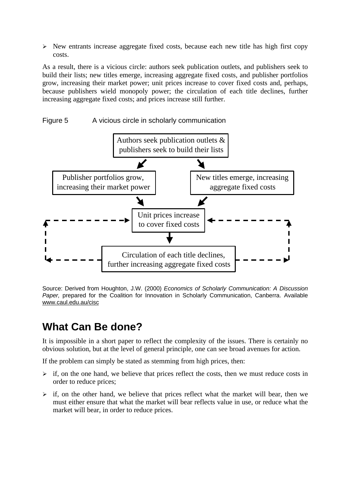$\triangleright$  New entrants increase aggregate fixed costs, because each new title has high first copy costs.

As a result, there is a vicious circle: authors seek publication outlets, and publishers seek to build their lists; new titles emerge, increasing aggregate fixed costs, and publisher portfolios grow, increasing their market power; unit prices increase to cover fixed costs and, perhaps, because publishers wield monopoly power; the circulation of each title declines, further increasing aggregate fixed costs; and prices increase still further.





Source: Derived from Houghton, J.W. (2000) *Economics of Scholarly Communication: A Discussion Paper,* prepared for the Coalition for Innovation in Scholarly Communication, Canberra. Available www.caul.edu.au/cisc

## **What Can Be done?**

It is impossible in a short paper to reflect the complexity of the issues. There is certainly no obvious solution, but at the level of general principle, one can see broad avenues for action.

If the problem can simply be stated as stemming from high prices, then:

- $\triangleright$  if, on the one hand, we believe that prices reflect the costs, then we must reduce costs in order to reduce prices;
- $\geq$  if, on the other hand, we believe that prices reflect what the market will bear, then we must either ensure that what the market will bear reflects value in use, or reduce what the market will bear, in order to reduce prices.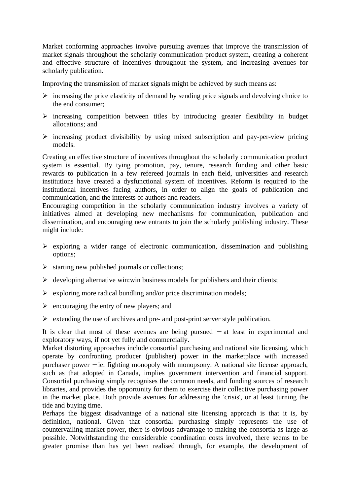Market conforming approaches involve pursuing avenues that improve the transmission of market signals throughout the scholarly communication product system, creating a coherent and effective structure of incentives throughout the system, and increasing avenues for scholarly publication.

Improving the transmission of market signals might be achieved by such means as:

- $\triangleright$  increasing the price elasticity of demand by sending price signals and devolving choice to the end consumer;
- $\triangleright$  increasing competition between titles by introducing greater flexibility in budget allocations; and
- $\triangleright$  increasing product divisibility by using mixed subscription and pay-per-view pricing models.

Creating an effective structure of incentives throughout the scholarly communication product system is essential. By tying promotion, pay, tenure, research funding and other basic rewards to publication in a few refereed journals in each field, universities and research institutions have created a dysfunctional system of incentives. Reform is required to the institutional incentives facing authors, in order to align the goals of publication and communication, and the interests of authors and readers.

Encouraging competition in the scholarly communication industry involves a variety of initiatives aimed at developing new mechanisms for communication, publication and dissemination, and encouraging new entrants to join the scholarly publishing industry. These might include:

- $\triangleright$  exploring a wider range of electronic communication, dissemination and publishing options;
- $\triangleright$  starting new published journals or collections;
- $\triangleright$  developing alternative win:win business models for publishers and their clients;
- $\triangleright$  exploring more radical bundling and/or price discrimination models;
- $\triangleright$  encouraging the entry of new players; and
- $\triangleright$  extending the use of archives and pre- and post-print server style publication.

It is clear that most of these avenues are being pursued − at least in experimental and exploratory ways, if not yet fully and commercially.

Market distorting approaches include consortial purchasing and national site licensing, which operate by confronting producer (publisher) power in the marketplace with increased purchaser power − ie. fighting monopoly with monopsony. A national site license approach, such as that adopted in Canada, implies government intervention and financial support. Consortial purchasing simply recognises the common needs, and funding sources of research libraries, and provides the opportunity for them to exercise their collective purchasing power in the market place. Both provide avenues for addressing the 'crisis', or at least turning the tide and buying time.

Perhaps the biggest disadvantage of a national site licensing approach is that it is, by definition, national. Given that consortial purchasing simply represents the use of countervailing market power, there is obvious advantage to making the consortia as large as possible. Notwithstanding the considerable coordination costs involved, there seems to be greater promise than has yet been realised through, for example, the development of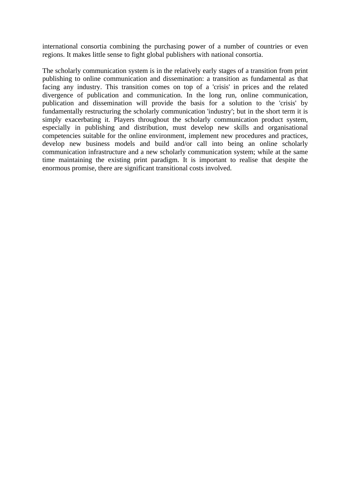international consortia combining the purchasing power of a number of countries or even regions. It makes little sense to fight global publishers with national consortia.

The scholarly communication system is in the relatively early stages of a transition from print publishing to online communication and dissemination: a transition as fundamental as that facing any industry. This transition comes on top of a 'crisis' in prices and the related divergence of publication and communication. In the long run, online communication, publication and dissemination will provide the basis for a solution to the 'crisis' by fundamentally restructuring the scholarly communication 'industry'; but in the short term it is simply exacerbating it. Players throughout the scholarly communication product system, especially in publishing and distribution, must develop new skills and organisational competencies suitable for the online environment, implement new procedures and practices, develop new business models and build and/or call into being an online scholarly communication infrastructure and a new scholarly communication system; while at the same time maintaining the existing print paradigm. It is important to realise that despite the enormous promise, there are significant transitional costs involved.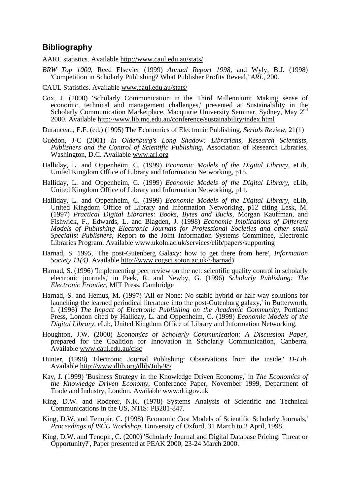#### **Bibliography**

AARL statistics. Available http://www.caul.edu.au/stats/

*BRW Top 1000*, Reed Elsevier (1999) *Annual Report 1998*, and Wyly, B.J. (1998) 'Competition in Scholarly Publishing? What Publisher Profits Reveal,' *ARL,* 200.

CAUL Statistics. Available www.caul.edu.au/stats/

- Cox, J. (2000) 'Scholarly Communication in the Third Millennium: Making sense of economic, technical and management challenges,' presented at Sustainability in the Scholarly Communication Marketplace, Macquarie University Seminar, Sydney, May 2<sup>nd</sup> 2000. Available http://www.lib.mq.edu.au/conference/sustainability/index.html
- Duranceau, E.F. (ed.) (1995) The Economics of Electronic Publishing, *Serials Review*, 21(1)
- Guédon, J-C (2001) *In Oldenburg's Long Shadow: Librarians, Research Scientists, Publishers and the Control of Scientific Publishing*, Association of Research Libraries, Washington, D.C. Available www.arl.org
- Halliday, L. and Oppenheim, C. (1999) *Economic Models of the Digital Library*, eLib, United Kingdom Office of Library and Information Networking, p15.
- Halliday, L. and Oppenheim, C. (1999) *Economic Models of the Digital Library*, eLib, United Kingdom Office of Library and Information Networking, p11.
- Halliday, L. and Oppenheim, C. (1999) *Economic Models of the Digital Library*, eLib, United Kingdom Office of Library and Information Networking, p12 citing Lesk, M. (1997) *Practical Digital Libraries: Books, Bytes and Bucks,* Morgan Kauffman, and Fishwick, F., Edwards, L. and Blagden, J. (1998) *Economic Implications of Different Models of Publishing Electronic Journals for Professional Societies and other small Specialist Publishers*, Report to the Joint Information Systems Committee, Electronic Libraries Program. Available www.ukoln.ac.uk/services/elib/papers/supporting
- Harnad, S. 1995, 'The post-Gutenberg Galaxy: how to get there from here', *Information Society 11(4)*. Available http://www.cogsci.soton.ac.uk/~harnad)
- Harnad, S. (1996) 'Implementing peer review on the net: scientific quality control in scholarly electronic journals,' in Peek, R. and Newby, G. (1996) *Scholarly Publishing: The Electronic Frontier,* MIT Press, Cambridge
- Harnad, S. and Hemus, M. (1997) 'All or None: No stable hybrid or half-way solutions for launching the learned periodical literature into the post-Gutenburg galaxy,' in Butterworth, I. (1996) *The Impact of Electronic Publishing on the Academic Community*, Portland Press, London cited by Halliday, L. and Oppenheim, C. (1999) *Economic Models of the Digital Library*, eLib, United Kingdom Office of Library and Information Networking.
- Houghton, J.W. (2000) *Economics of Scholarly Communication: A Discussion Paper,* prepared for the Coalition for Innovation in Scholarly Communication, Canberra. Available www.caul.edu.au/cisc
- Hunter, (1998) 'Electronic Journal Publishing: Observations from the inside,' *D-Lib.* Available http://www.dlib.org/dlib/July98/
- Kay, J. (1999) 'Business Strategy in the Knowledge Driven Economy,' in *The Economics of the Knowledge Driven Economy*, Conference Paper, November 1999, Department of Trade and Industry, London. Available www.dti.gov.uk
- King, D.W. and Roderer, N.K. (1978) Systems Analysis of Scientific and Technical Communications in the US, NTIS: PB281-847.
- King, D.W. and Tenopir, C. (1998) 'Economic Cost Models of Scientific Scholarly Journals,' *Proceedings of ISCU Workshop*, University of Oxford, 31 March to 2 April, 1998.
- King, D.W. and Tenopir, C. (2000) 'Scholarly Journal and Digital Database Pricing: Threat or Opportunity?', Paper presented at PEAK 2000, 23-24 March 2000.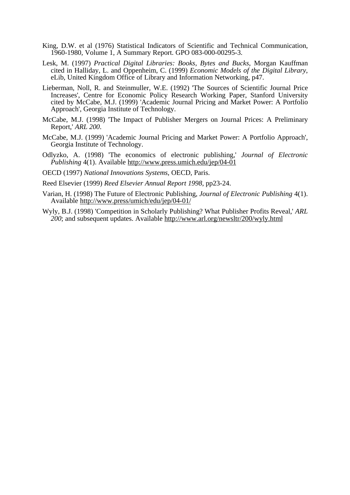- King, D.W. et al (1976) Statistical Indicators of Scientific and Technical Communication, 1960-1980, Volume 1, A Summary Report. GPO 083-000-00295-3.
- Lesk, M. (1997) *Practical Digital Libraries: Books, Bytes and Bucks*, Morgan Kauffman cited in Halliday, L. and Oppenheim, C. (1999) *Economic Models of the Digital Library*, eLib, United Kingdom Office of Library and Information Networking, p47.
- Lieberman, Noll, R. and Steinmuller, W.E. (1992) 'The Sources of Scientific Journal Price Increases', Centre for Economic Policy Research Working Paper, Stanford University cited by McCabe, M.J. (1999) 'Academic Journal Pricing and Market Power: A Portfolio Approach', Georgia Institute of Technology.
- McCabe, M.J. (1998) 'The Impact of Publisher Mergers on Journal Prices: A Preliminary Report,' *ARL 200*.
- McCabe, M.J. (1999) 'Academic Journal Pricing and Market Power: A Portfolio Approach', Georgia Institute of Technology.
- Odlyzko, A. (1998) 'The economics of electronic publishing,' *Journal of Electronic Publishing* 4(1). Available http://www.press.umich.edu/jep/04-01
- OECD (1997) *National Innovations Systems*, OECD, Paris.

Reed Elsevier (1999) *Reed Elsevier Annual Report 1998*, pp23-24.

- Varian, H. (1998) The Future of Electronic Publishing, *Journal of Electronic Publishing* 4(1). Available http://www.press/umich/edu/jep/04-01/
- Wyly, B.J. (1998) 'Competition in Scholarly Publishing? What Publisher Profits Reveal,' *ARL 200*; and subsequent updates. Available http://www.arl.org/newsltr/200/wyly.html